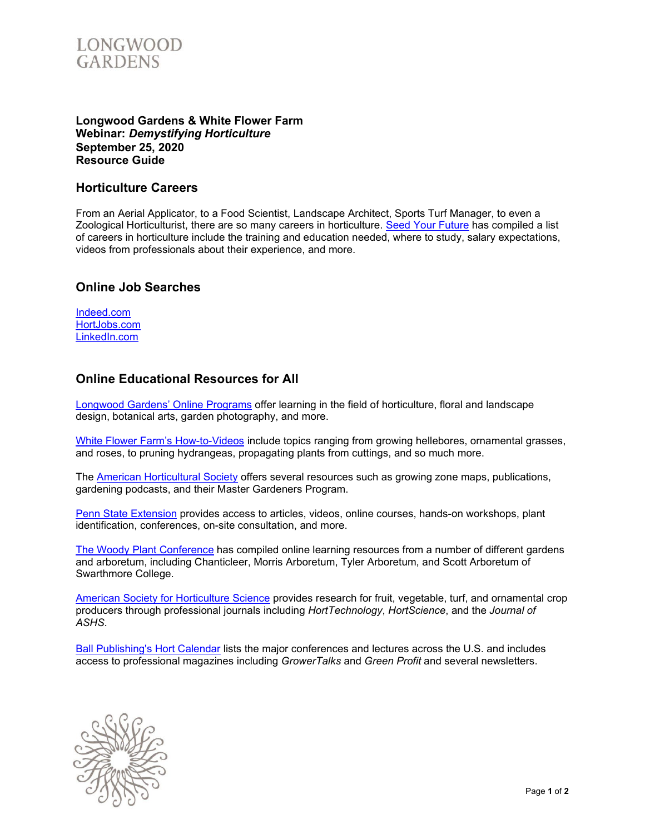

#### **Longwood Gardens & White Flower Farm Webinar:** *Demystifying Horticulture* **September 25, 2020 Resource Guide**

#### **Horticulture Careers**

From an Aerial Applicator, to a Food Scientist, Landscape Architect, Sports Turf Manager, to even a Zoological Horticulturist, there are so many careers in horticulture. [Seed Your Future](https://www.seedyourfuture.org/careers) has compiled a list of careers in horticulture include the training and education needed, where to study, salary expectations, videos from professionals about their experience, and more.

### **Online Job Searches**

| Indeed.com   |
|--------------|
| HortJobs.com |
| LinkedIn.com |

## **Online Educational Resources for All**

[Longwood Gardens' Online Programs](https://longwoodgardens.org/education/online-learning) offer learning in the field of horticulture, floral and landscape design, botanical arts, garden photography, and more.

[White Flower Farm's](https://www.whiteflowerfarm.com/gardening-videos) How-to-Videos include topics ranging from growing hellebores, ornamental grasses, and roses, to pruning hydrangeas, propagating plants from cuttings, and so much more.

The [American Horticultural Society](https://ahsgardening.org/gardening-resources/) offers several resources such as growing zone maps, publications, gardening podcasts, and their Master Gardeners Program.

[Penn State Extension](https://extension.psu.edu/) provides access to articles, videos, online courses, hands-on workshops, plant identification, conferences, on-site consultation, and more.

[The Woody Plant Conference](https://www.woodyplantconference.org/online-resources/) has compiled online learning resources from a number of different gardens and arboretum, including Chanticleer, Morris Arboretum, Tyler Arboretum, and Scott Arboretum of Swarthmore College.

[American Society for Horticulture Science](https://ashs.org/) provides research for fruit, vegetable, turf, and ornamental crop producers through professional journals including *HortTechnology*, *HortScience*, and the *Journal of ASHS*.

[Ball Publishing's Hort Calendar](https://www.hortcalendar.com/) lists the major conferences and lectures across the U.S. and includes access to professional magazines including *GrowerTalks* and *Green Profit* and several newsletters.